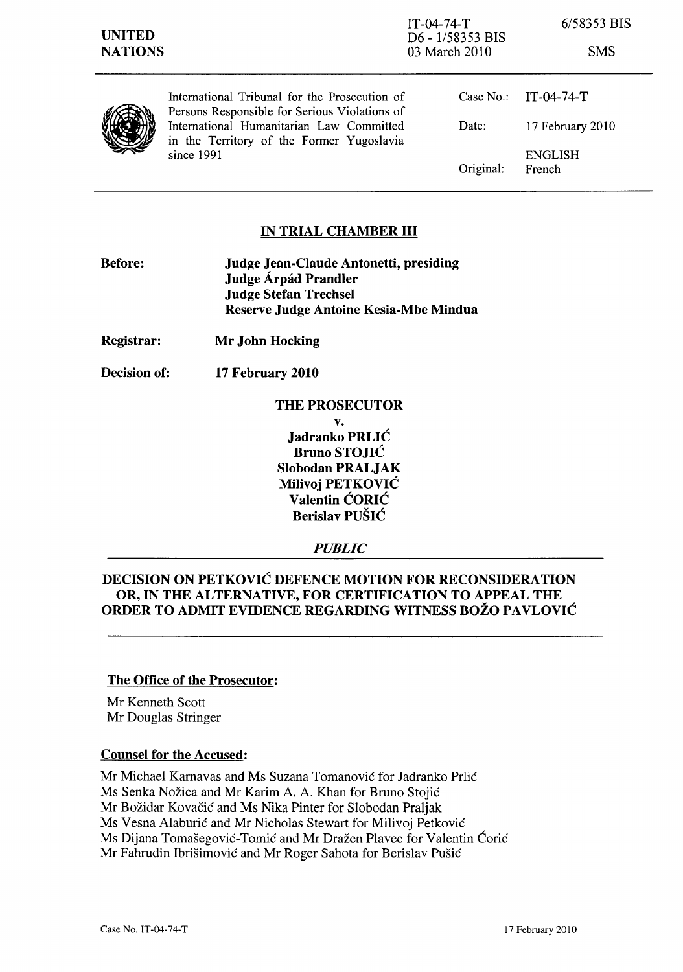



International Tribunal for the Prosecution of Persons Responsible for Serious Violations of International Humanitarian Law Committed in the Territory of the Former Yugoslavia since 1991

|           | Case No.: IT-04-74-T     |
|-----------|--------------------------|
| Date:     | 17 February 2010         |
| Original: | <b>ENGLISH</b><br>French |

# **IN TRIAL CHAMBER III**

- **Before: Judge Jean-Claude Antonetti, presiding Judge Arpad Prandler Judge Stefan Trechsel Reserve Judge Antoine Kesia-Mbe Mindua**
- **Registrar: Mr John Hocking**
- **Decision of: 17 February 2010**

### **THE PROSECUTOR**

**v. Jadranko** PRLIĆ **Bruno** STOJIĆ **Slobodan PRALJAK Milivoj** PETKOVIĆ **Valentin** ĆORIĆ **Berislav** PUŠIĆ

*PUBLIC* 

### **DECISION ON** PETKOVIĆ **DEFENCE MOTION FOR RECONSIDERATION OR, IN THE ALTERNATIVE, FOR CERTIFICATION TO APPEAL THE ORDER TO ADMIT EVIDENCE REGARDING WITNESS BOŽO** PAVLOVIĆ

#### **The Office of the Prosecutor:**

Mr Kenneth Scott Mr Douglas Stringer

## **Counsel for the Accused:**

Mr Michael Karnavas and Ms Suzana Tomanović for Jadranko Prlić Ms Senka Nožica and Mr Karim A. A. Khan for Bruno Stojić Mr Božidar Kovačić and Ms Nika Pinter for Slobodan Praljak Ms Vesna Alaburić and Mr Nicholas Stewart for Milivoj Petković Ms Dijana Tomašegović-Tomić and Mr Dražen Plavec for Valentin Ćorić Mr Fahrudin Ibrišimović and Mr Roger Sahota for Berislav Pušić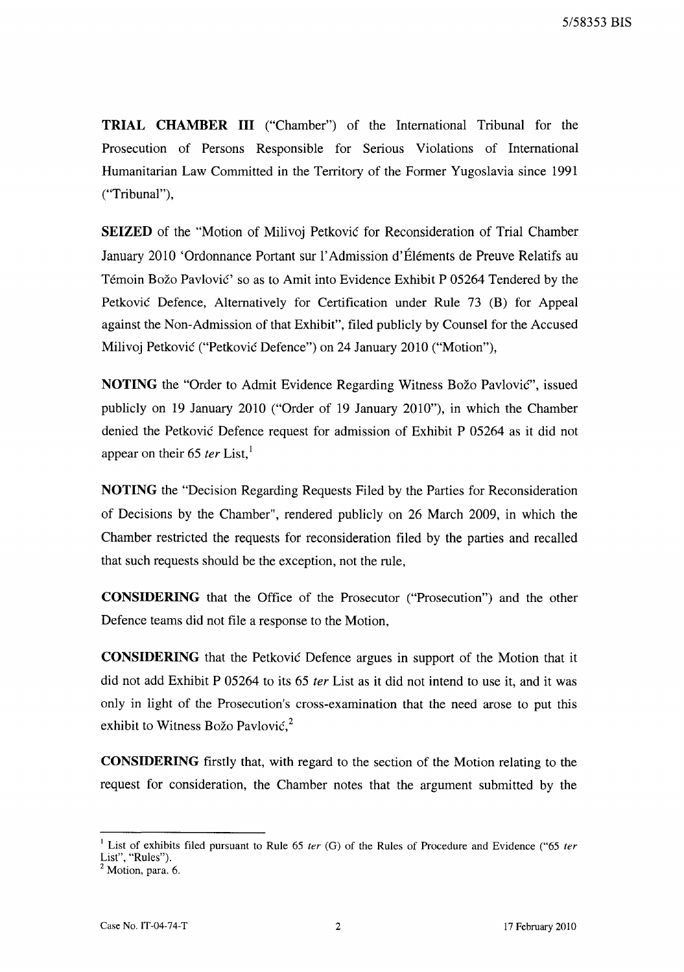**TRIAL CHAMBER III** ("Chamber") of the International Tribunal for the Prosecution of Persons Responsible for Serious Violations of International Humanitarian Law Committed in the Territory of the Former Yugoslavia since 1991 ("Tribunal"),

**SEIZED** of the "Motion of Milivoj Petković for Reconsideration of Trial Chamber January 2010 'Ordonnance Portant sur l' Admission d'Elements de Preuve Relatifs au Temoin Božo Pavlović' so as to Amit into Evidence Exhibit P 05264 Tendered by the Petković Defence, Alternatively for Certification under Rule 73 (B) for Appeal against the Non-Admission of that Exhibit", filed publicly by Counsel for the Accused Milivoj Petković ("Petković Defence") on 24 January 2010 ("Motion"),

**NOTING** the "Order to Admit Evidence Regarding Witness Božo Pavlović", issued publicly on 19 January 2010 ("Order of 19 January 2010"), in which the Chamber denied the Petković Defence request for admission of Exhibit P 05264 as it did not appear on their 65 *ter* List.<sup>1</sup>

**NOTING** the "Decision Regarding Requests Filed by the Parties for Reconsideration of Decisions by the Chamber", rendered publicly on 26 March 2009, in which the Chamber restricted the requests for reconsideration filed by the parties and recalled that such requests should be the exception, not the rule,

**CONSIDERING** that the Office of the Prosecutor ("Prosecution") and the other Defence teams did not file a response to the Motion,

**CONSIDERING** that the Petković Defence argues in support of the Motion that it did not add Exhibit P 05264 to its 65 *ter* List as it did not intend to use it, and it was only in light of the Prosecution's cross-examination that the need arose to put this exhibit to Witness Božo Pavlović, $^2$ 

**CONSIDERING** first1y that, with regard to the section of the Motion relating to the request for consideration, the Chamber notes that the argument submitted by the

<sup>&</sup>lt;sup>1</sup> List of exhibits filed pursuant to Rule 65 *ter* (G) of the Rules of Procedure and Evidence ("65 *ter* List", "Rules").

 $<sup>2</sup>$  Motion, para. 6.</sup>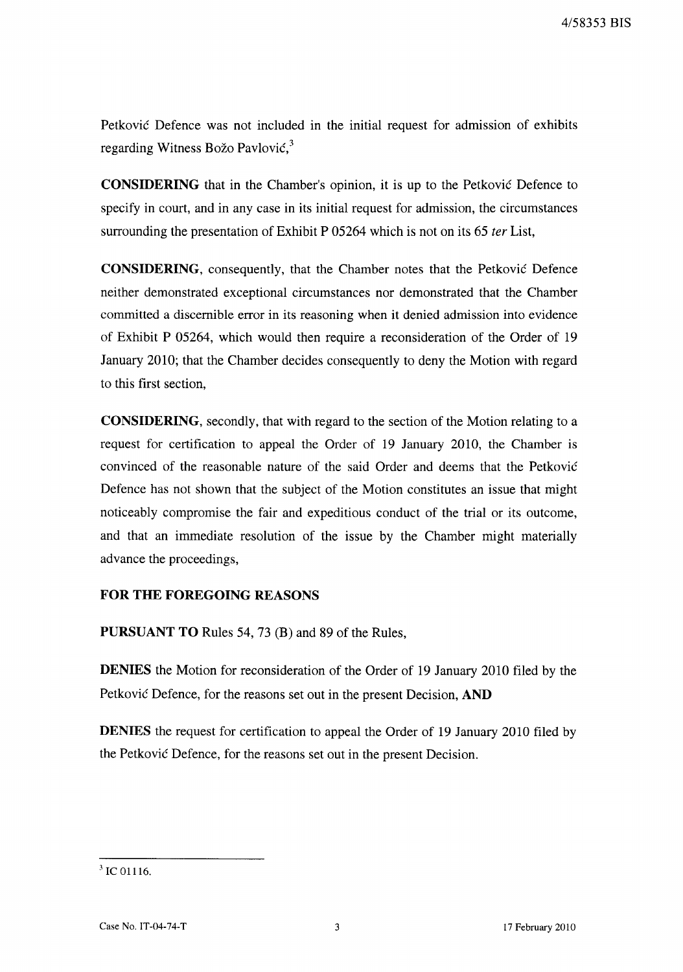4/58353 BIS

Petković Defence was not included in the initial request for admission of exhibits regarding Witness Božo Pavlović,<sup>3</sup>

**CONSIDERING** that in the Chamber's opinion, it is up to the Petković Defence to specify in court, and in any case in its initial request for admission, the circumstances surrounding the presentation of Exhibit P 05264 which is not on its 65 *ter* List,

**CONSIDERING,** consequently, that the Chamber notes that the Petković Defence neither demonstrated exceptional circumstances nor demonstrated that the Chamber committed a discernible error in its reasoning when it denied admission into evidence of Exhibit P 05264, which would then require a reconsideration of the Order of 19 January 2010; that the Chamber decides consequently to deny the Motion with regard to this first section,

**CONSIDERING,** secondly, that with regard to the section of the Motion relating to a request for certification to appeal the Order of 19 January 2010, the Chamber is convinced of the reasonable nature of the said Order and deems that the Petković Defence has not shown that the subject of the Motion constitutes an issue that might noticeably compromise the fair and expeditious conduct of the trial or its outcome, and that an immediate resolution of the issue by the Chamber might materially advance the proceedings,

#### **FOR THE FOREGOING REASONS**

**PURSUANT TO** Rules 54, 73 (B) and 89 of the Rules,

**DENlES** the Motion for reconsideration of the Order of 19 January 2010 filed by the Petković Defence, for the reasons set out in the present Decision, **AND** 

**DENlES** the request for certification to appeal the Order of 19 January 2010 filed by the Petković Defence, for the reasons set out in the present Decision.

Case No. IT-04-74-T 3 17 February 2010

<sup>3</sup> IC 01116.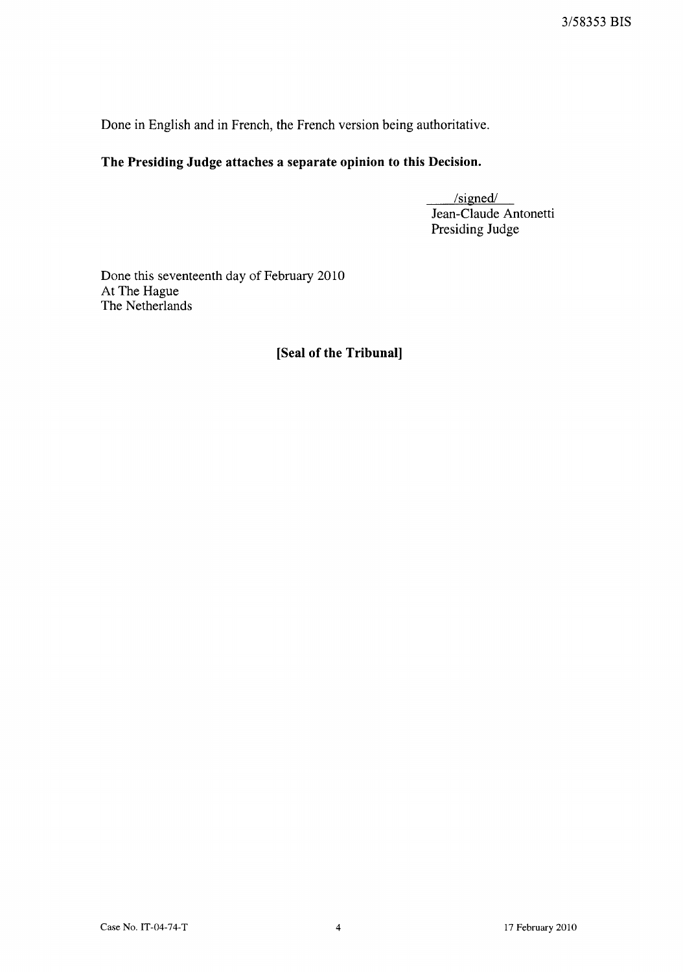Done in English and in French, the French version being authoritative.

# **The Presiding Judge attaches a separate opinion to this Decision.**

 $/signed/$ Jean-Claude Antonetti Presiding Judge

Done this seventeenth day of February 2010 At The Hague The Netherlands

# **[Seal of the Tribunal]**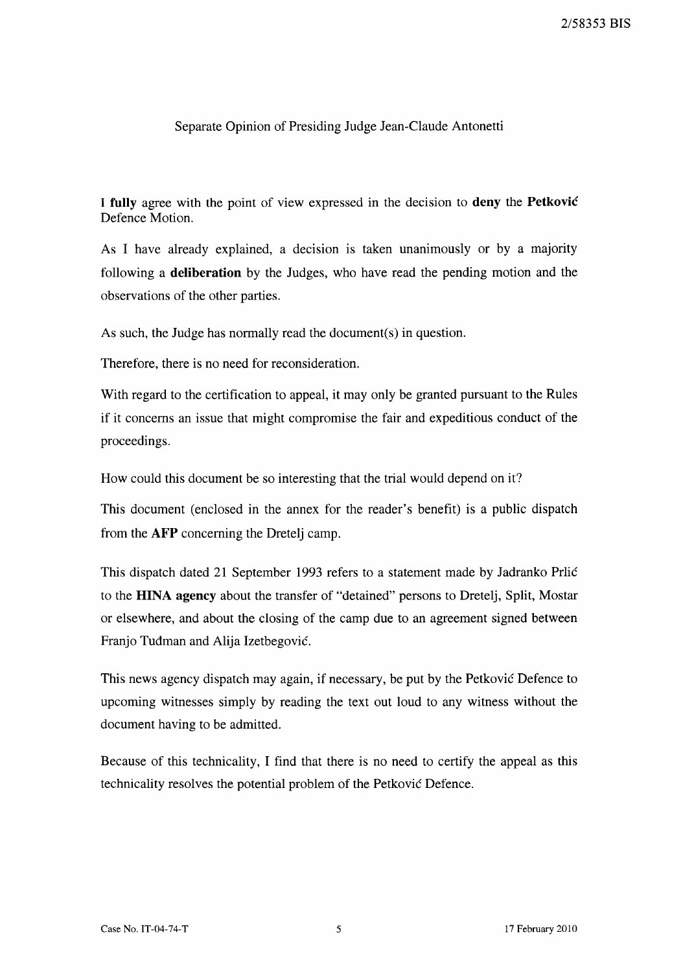### Separate Opinion of Presiding Judge Jean-Claude Antonetti

I fully agree with the point of view expressed in the decision to deny the Petković Defence Motion.

As I have already explained, a decision is taken unanimously or by a majority following a deliberation by the Judges, who have read the pending motion and the observations of the other parties.

As such, the Judge has normally read the document(s) in question.

Therefore, there is no need for reconsideration.

With regard to the certification to appeal, it may only be granted pursuant to the Rules if it concerns an issue that might compromise the fair and expeditious conduct of the proceedings.

How could this document be so interesting that the trial would depend on it?

This document (enclosed in the annex for the reader's benefit) is a public dispatch from the AFP concerning the Dretelj camp.

This dispatch dated 21 September 1993 refers to a statement made by Jadranko Prlić to the HINA agency about the transfer of "detained" persons to Dretelj, Split, Mostar or elsewhere, and about the closing of the camp due to an agreement signed between Franjo Tuđman and Alija Izetbegović.

This news agency dispatch may again, if necessary, be put by the Petković Defence to upcoming witnesses simply by reading the text out loud to any witness without the document having to be admitted.

Because of this technicality, I find that there is no need to certify the appeal as this technicality resolves the potential problem of the Petković Defence.